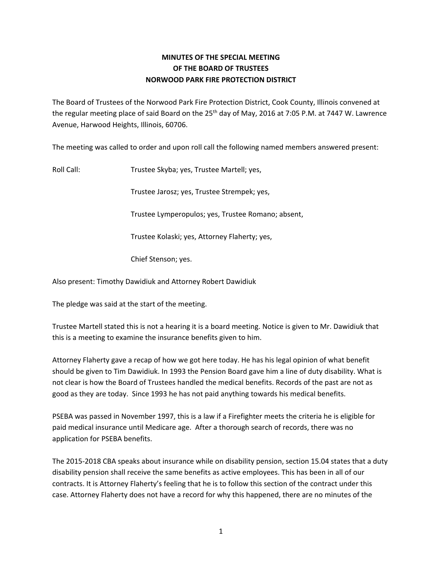# **MINUTES OF THE SPECIAL MEETING OF THE BOARD OF TRUSTEES NORWOOD PARK FIRE PROTECTION DISTRICT**

The Board of Trustees of the Norwood Park Fire Protection District, Cook County, Illinois convened at the regular meeting place of said Board on the  $25<sup>th</sup>$  day of May, 2016 at 7:05 P.M. at 7447 W. Lawrence Avenue, Harwood Heights, Illinois, 60706.

The meeting was called to order and upon roll call the following named members answered present:

Roll Call: Trustee Skyba; yes, Trustee Martell; yes,

Trustee Jarosz; yes, Trustee Strempek; yes,

Trustee Lymperopulos; yes, Trustee Romano; absent,

Trustee Kolaski; yes, Attorney Flaherty; yes,

Chief Stenson; yes.

Also present: Timothy Dawidiuk and Attorney Robert Dawidiuk

The pledge was said at the start of the meeting.

Trustee Martell stated this is not a hearing it is a board meeting. Notice is given to Mr. Dawidiuk that this is a meeting to examine the insurance benefits given to him.

Attorney Flaherty gave a recap of how we got here today. He has his legal opinion of what benefit should be given to Tim Dawidiuk. In 1993 the Pension Board gave him a line of duty disability. What is not clear is how the Board of Trustees handled the medical benefits. Records of the past are not as good as they are today. Since 1993 he has not paid anything towards his medical benefits.

PSEBA was passed in November 1997, this is a law if a Firefighter meets the criteria he is eligible for paid medical insurance until Medicare age. After a thorough search of records, there was no application for PSEBA benefits.

The 2015-2018 CBA speaks about insurance while on disability pension, section 15.04 states that a duty disability pension shall receive the same benefits as active employees. This has been in all of our contracts. It is Attorney Flaherty's feeling that he is to follow this section of the contract under this case. Attorney Flaherty does not have a record for why this happened, there are no minutes of the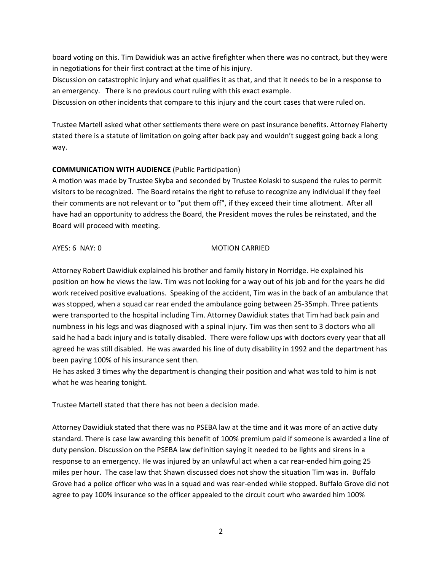board voting on this. Tim Dawidiuk was an active firefighter when there was no contract, but they were in negotiations for their first contract at the time of his injury.

Discussion on catastrophic injury and what qualifies it as that, and that it needs to be in a response to an emergency. There is no previous court ruling with this exact example.

Discussion on other incidents that compare to this injury and the court cases that were ruled on.

Trustee Martell asked what other settlements there were on past insurance benefits. Attorney Flaherty stated there is a statute of limitation on going after back pay and wouldn't suggest going back a long way.

# **COMMUNICATION WITH AUDIENCE** (Public Participation)

A motion was made by Trustee Skyba and seconded by Trustee Kolaski to suspend the rules to permit visitors to be recognized. The Board retains the right to refuse to recognize any individual if they feel their comments are not relevant or to "put them off", if they exceed their time allotment. After all have had an opportunity to address the Board, the President moves the rules be reinstated, and the Board will proceed with meeting.

### AYES: 6 NAY: 0 MOTION CARRIED

Attorney Robert Dawidiuk explained his brother and family history in Norridge. He explained his position on how he views the law. Tim was not looking for a way out of his job and for the years he did work received positive evaluations. Speaking of the accident, Tim was in the back of an ambulance that was stopped, when a squad car rear ended the ambulance going between 25-35mph. Three patients were transported to the hospital including Tim. Attorney Dawidiuk states that Tim had back pain and numbness in his legs and was diagnosed with a spinal injury. Tim was then sent to 3 doctors who all said he had a back injury and is totally disabled. There were follow ups with doctors every year that all agreed he was still disabled. He was awarded his line of duty disability in 1992 and the department has been paying 100% of his insurance sent then.

He has asked 3 times why the department is changing their position and what was told to him is not what he was hearing tonight.

Trustee Martell stated that there has not been a decision made.

Attorney Dawidiuk stated that there was no PSEBA law at the time and it was more of an active duty standard. There is case law awarding this benefit of 100% premium paid if someone is awarded a line of duty pension. Discussion on the PSEBA law definition saying it needed to be lights and sirens in a response to an emergency. He was injured by an unlawful act when a car rear-ended him going 25 miles per hour. The case law that Shawn discussed does not show the situation Tim was in. Buffalo Grove had a police officer who was in a squad and was rear-ended while stopped. Buffalo Grove did not agree to pay 100% insurance so the officer appealed to the circuit court who awarded him 100%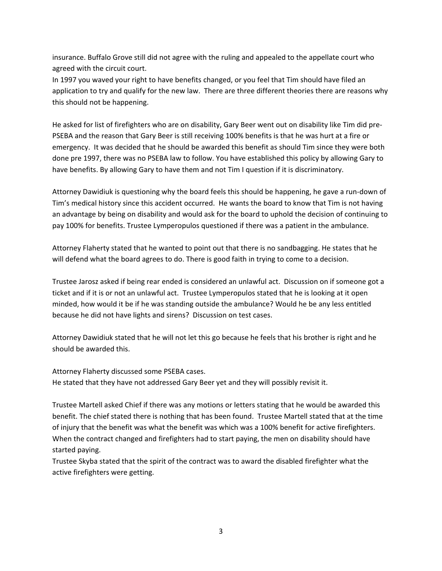insurance. Buffalo Grove still did not agree with the ruling and appealed to the appellate court who agreed with the circuit court.

In 1997 you waved your right to have benefits changed, or you feel that Tim should have filed an application to try and qualify for the new law. There are three different theories there are reasons why this should not be happening.

He asked for list of firefighters who are on disability, Gary Beer went out on disability like Tim did pre-PSEBA and the reason that Gary Beer is still receiving 100% benefits is that he was hurt at a fire or emergency. It was decided that he should be awarded this benefit as should Tim since they were both done pre 1997, there was no PSEBA law to follow. You have established this policy by allowing Gary to have benefits. By allowing Gary to have them and not Tim I question if it is discriminatory.

Attorney Dawidiuk is questioning why the board feels this should be happening, he gave a run-down of Tim's medical history since this accident occurred. He wants the board to know that Tim is not having an advantage by being on disability and would ask for the board to uphold the decision of continuing to pay 100% for benefits. Trustee Lymperopulos questioned if there was a patient in the ambulance.

Attorney Flaherty stated that he wanted to point out that there is no sandbagging. He states that he will defend what the board agrees to do. There is good faith in trying to come to a decision.

Trustee Jarosz asked if being rear ended is considered an unlawful act. Discussion on if someone got a ticket and if it is or not an unlawful act. Trustee Lymperopulos stated that he is looking at it open minded, how would it be if he was standing outside the ambulance? Would he be any less entitled because he did not have lights and sirens? Discussion on test cases.

Attorney Dawidiuk stated that he will not let this go because he feels that his brother is right and he should be awarded this.

Attorney Flaherty discussed some PSEBA cases. He stated that they have not addressed Gary Beer yet and they will possibly revisit it.

Trustee Martell asked Chief if there was any motions or letters stating that he would be awarded this benefit. The chief stated there is nothing that has been found. Trustee Martell stated that at the time of injury that the benefit was what the benefit was which was a 100% benefit for active firefighters. When the contract changed and firefighters had to start paying, the men on disability should have started paying.

Trustee Skyba stated that the spirit of the contract was to award the disabled firefighter what the active firefighters were getting.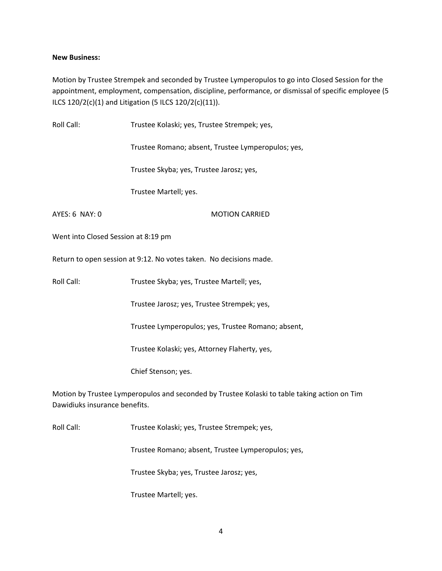# **New Business:**

Motion by Trustee Strempek and seconded by Trustee Lymperopulos to go into Closed Session for the appointment, employment, compensation, discipline, performance, or dismissal of specific employee (5 ILCS 120/2(c)(1) and Litigation (5 ILCS 120/2(c)(11)).

| Roll Call:                                                                                                                    | Trustee Kolaski; yes, Trustee Strempek; yes,       |
|-------------------------------------------------------------------------------------------------------------------------------|----------------------------------------------------|
|                                                                                                                               | Trustee Romano; absent, Trustee Lymperopulos; yes, |
|                                                                                                                               | Trustee Skyba; yes, Trustee Jarosz; yes,           |
|                                                                                                                               | Trustee Martell; yes.                              |
| AYES: 6 NAY: 0                                                                                                                | <b>MOTION CARRIED</b>                              |
| Went into Closed Session at 8:19 pm                                                                                           |                                                    |
| Return to open session at 9:12. No votes taken. No decisions made.                                                            |                                                    |
| Roll Call:                                                                                                                    | Trustee Skyba; yes, Trustee Martell; yes,          |
|                                                                                                                               | Trustee Jarosz; yes, Trustee Strempek; yes,        |
|                                                                                                                               | Trustee Lymperopulos; yes, Trustee Romano; absent, |
|                                                                                                                               | Trustee Kolaski; yes, Attorney Flaherty, yes,      |
|                                                                                                                               | Chief Stenson; yes.                                |
| Motion by Trustee Lymperopulos and seconded by Trustee Kolaski to table taking action on Tim<br>Dawidiuks insurance benefits. |                                                    |
| Roll Call:                                                                                                                    | Trustee Kolaski; yes, Trustee Strempek; yes,       |

Trustee Romano; absent, Trustee Lymperopulos; yes,

Trustee Skyba; yes, Trustee Jarosz; yes,

Trustee Martell; yes.